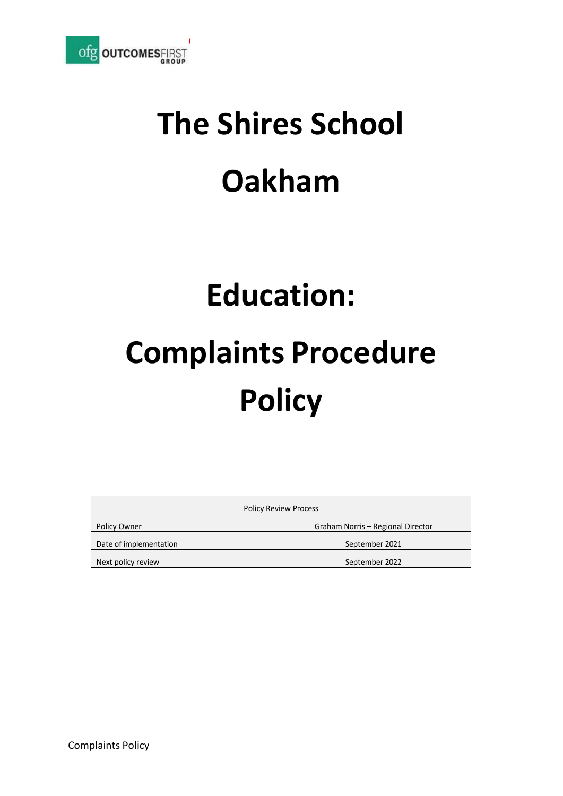

# **The Shires School Oakham**

# **Education:**

# **Complaints Procedure Policy**

| <b>Policy Review Process</b> |                                   |
|------------------------------|-----------------------------------|
| Policy Owner                 | Graham Norris - Regional Director |
| Date of implementation       | September 2021                    |
| Next policy review           | September 2022                    |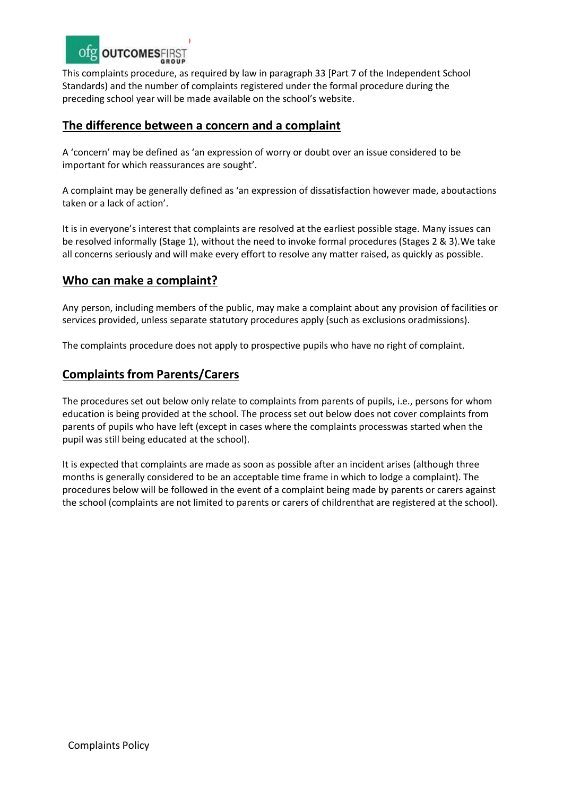

This complaints procedure, as required by law in paragraph 33 [Part 7 of the Independent School Standards) and the number of complaints registered under the formal procedure during the preceding school year will be made available on the school's website.

#### **The difference between a concern and a complaint**

A 'concern' may be defined as 'an expression of worry or doubt over an issue considered to be important for which reassurances are sought'.

A complaint may be generally defined as 'an expression of dissatisfaction however made, aboutactions taken or a lack of action'.

It is in everyone's interest that complaints are resolved at the earliest possible stage. Many issues can be resolved informally (Stage 1), without the need to invoke formal procedures (Stages 2 & 3).We take all concerns seriously and will make every effort to resolve any matter raised, as quickly as possible.

#### **Who can make a complaint?**

Any person, including members of the public, may make a complaint about any provision of facilities or services provided, unless separate statutory procedures apply (such as exclusions oradmissions).

The complaints procedure does not apply to prospective pupils who have no right of complaint.

#### **Complaints from Parents/Carers**

The procedures set out below only relate to complaints from parents of pupils, i.e., persons for whom education is being provided at the school. The process set out below does not cover complaints from parents of pupils who have left (except in cases where the complaints processwas started when the pupil was still being educated at the school).

It is expected that complaints are made as soon as possible after an incident arises (although three months is generally considered to be an acceptable time frame in which to lodge a complaint). The procedures below will be followed in the event of a complaint being made by parents or carers against the school (complaints are not limited to parents or carers of childrenthat are registered at the school).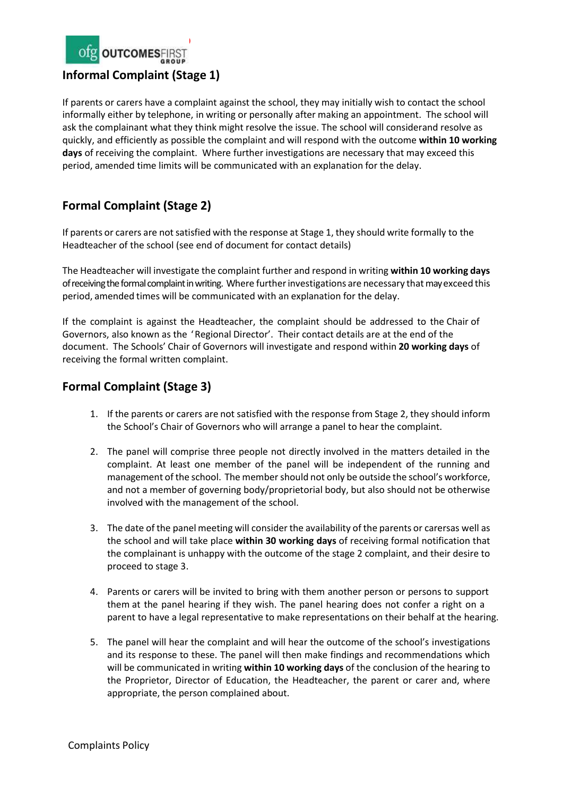

If parents or carers have a complaint against the school, they may initially wish to contact the school informally either by telephone, in writing or personally after making an appointment. The school will ask the complainant what they think might resolve the issue. The school will considerand resolve as quickly, and efficiently as possible the complaint and will respond with the outcome **within 10 working days** of receiving the complaint. Where further investigations are necessary that may exceed this period, amended time limits will be communicated with an explanation for the delay.

## **Formal Complaint (Stage 2)**

If parents or carers are not satisfied with the response at Stage 1, they should write formally to the Headteacher of the school (see end of document for contact details)

The Headteacher will investigate the complaint further and respond in writing **within 10 working days** of receiving the formal complaint in writing. Where further investigations are necessary that may exceed this period, amended times will be communicated with an explanation for the delay.

If the complaint is against the Headteacher, the complaint should be addressed to the Chair of Governors, also known as the 'Regional Director'. Their contact details are at the end of the document. The Schools' Chair of Governors will investigate and respond within **20 working days** of receiving the formal written complaint.

### **Formal Complaint (Stage 3)**

- 1. If the parents or carers are not satisfied with the response from Stage 2, they should inform the School's Chair of Governors who will arrange a panel to hear the complaint.
- 2. The panel will comprise three people not directly involved in the matters detailed in the complaint. At least one member of the panel will be independent of the running and management of the school. The membershould not only be outside the school's workforce, and not a member of governing body/proprietorial body, but also should not be otherwise involved with the management of the school.
- 3. The date of the panel meeting will consider the availability of the parents or carersas well as the school and will take place **within 30 working days** of receiving formal notification that the complainant is unhappy with the outcome of the stage 2 complaint, and their desire to proceed to stage 3.
- 4. Parents or carers will be invited to bring with them another person or persons to support them at the panel hearing if they wish. The panel hearing does not confer a right on a parent to have a legal representative to make representations on their behalf at the hearing.
- 5. The panel will hear the complaint and will hear the outcome of the school's investigations and its response to these. The panel will then make findings and recommendations which will be communicated in writing **within 10 working days** of the conclusion of the hearing to the Proprietor, Director of Education, the Headteacher, the parent or carer and, where appropriate, the person complained about.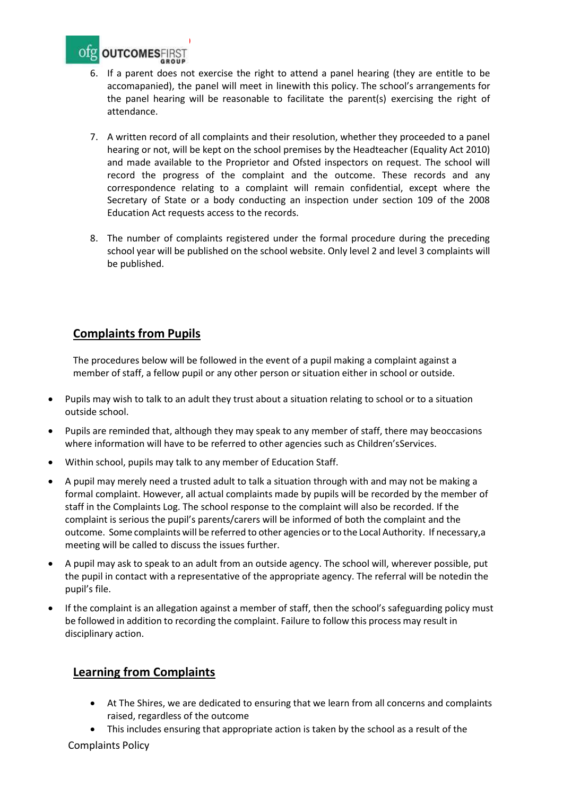

- 6. If a parent does not exercise the right to attend a panel hearing (they are entitle to be accomapanied), the panel will meet in linewith this policy. The school's arrangements for the panel hearing will be reasonable to facilitate the parent(s) exercising the right of attendance.
- 7. A written record of all complaints and their resolution, whether they proceeded to a panel hearing or not, will be kept on the school premises by the Headteacher (Equality Act 2010) and made available to the Proprietor and Ofsted inspectors on request. The school will record the progress of the complaint and the outcome. These records and any correspondence relating to a complaint will remain confidential, except where the Secretary of State or a body conducting an inspection under section 109 of the 2008 Education Act requests access to the records.
- 8. The number of complaints registered under the formal procedure during the preceding school year will be published on the school website. Only level 2 and level 3 complaints will be published.

### **Complaints from Pupils**

The procedures below will be followed in the event of a pupil making a complaint against a member of staff, a fellow pupil or any other person or situation either in school or outside.

- Pupils may wish to talk to an adult they trust about a situation relating to school or to a situation outside school.
- Pupils are reminded that, although they may speak to any member of staff, there may beoccasions where information will have to be referred to other agencies such as Children'sServices.
- Within school, pupils may talk to any member of Education Staff.
- A pupil may merely need a trusted adult to talk a situation through with and may not be making a formal complaint. However, all actual complaints made by pupils will be recorded by the member of staff in the Complaints Log. The school response to the complaint will also be recorded. If the complaint is serious the pupil's parents/carers will be informed of both the complaint and the outcome. Some complaints will be referred to other agencies or to the Local Authority. If necessary, a meeting will be called to discuss the issues further.
- A pupil may ask to speak to an adult from an outside agency. The school will, wherever possible, put the pupil in contact with a representative of the appropriate agency. The referral will be notedin the pupil's file.
- If the complaint is an allegation against a member of staff, then the school's safeguarding policy must be followed in addition to recording the complaint. Failure to follow this process may result in disciplinary action.

#### **Learning from Complaints**

- At The Shires, we are dedicated to ensuring that we learn from all concerns and complaints raised, regardless of the outcome
- This includes ensuring that appropriate action is taken by the school as a result of the

Complaints Policy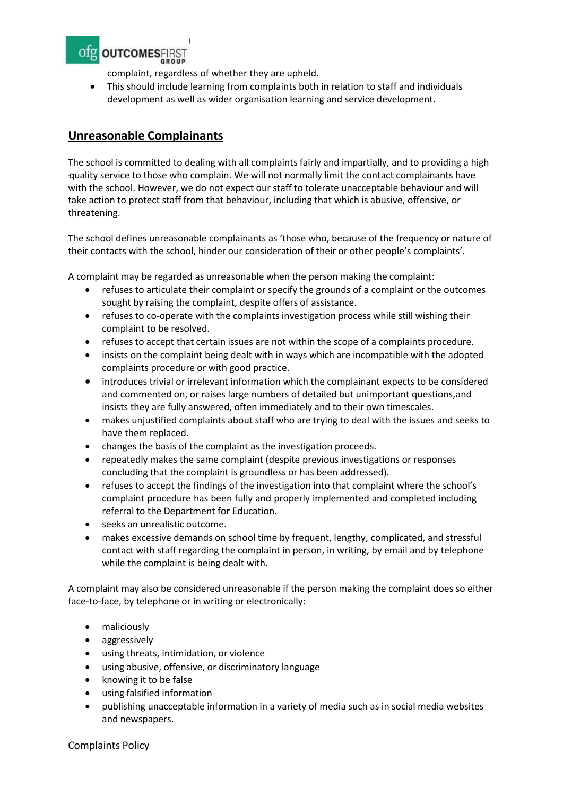

complaint, regardless of whether they are upheld.

• This should include learning from complaints both in relation to staff and individuals development as well as wider organisation learning and service development.

#### **Unreasonable Complainants**

The school is committed to dealing with all complaints fairly and impartially, and to providing a high -quality service to those who complain. We will not normally limit the contact complainants have with the school. However, we do not expect our staff to tolerate unacceptable behaviour and will take action to protect staff from that behaviour, including that which is abusive, offensive, or threatening.

The school defines unreasonable complainants as 'those who, because of the frequency or nature of their contacts with the school, hinder our consideration of their or other people's complaints'.

A complaint may be regarded as unreasonable when the person making the complaint:

- refuses to articulate their complaint or specify the grounds of a complaint or the outcomes sought by raising the complaint, despite offers of assistance.
- refuses to co-operate with the complaints investigation process while still wishing their complaint to be resolved.
- refuses to accept that certain issues are not within the scope of a complaints procedure.
- insists on the complaint being dealt with in ways which are incompatible with the adopted complaints procedure or with good practice.
- introduces trivial or irrelevant information which the complainant expects to be considered and commented on, or raises large numbers of detailed but unimportant questions,and insists they are fully answered, often immediately and to their own timescales.
- makes unjustified complaints about staff who are trying to deal with the issues and seeks to have them replaced.
- changes the basis of the complaint as the investigation proceeds.
- repeatedly makes the same complaint (despite previous investigations or responses concluding that the complaint is groundless or has been addressed).
- refuses to accept the findings of the investigation into that complaint where the school's complaint procedure has been fully and properly implemented and completed including referral to the Department for Education.
- seeks an unrealistic outcome.
- makes excessive demands on school time by frequent, lengthy, complicated, and stressful contact with staff regarding the complaint in person, in writing, by email and by telephone while the complaint is being dealt with.

A complaint may also be considered unreasonable if the person making the complaint does so either face-to-face, by telephone or in writing or electronically:

- maliciously
- aggressively
- using threats, intimidation, or violence
- using abusive, offensive, or discriminatory language
- knowing it to be false
- using falsified information
- publishing unacceptable information in a variety of media such as in social media websites and newspapers.